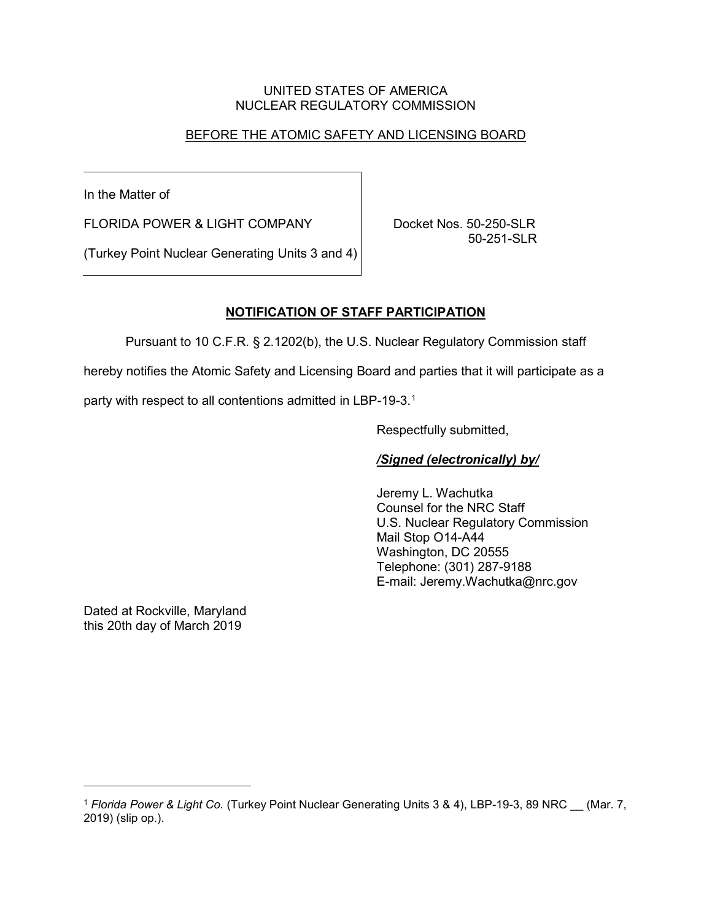### UNITED STATES OF AMERICA NUCLEAR REGULATORY COMMISSION

# BEFORE THE ATOMIC SAFETY AND LICENSING BOARD

In the Matter of

FLORIDA POWER & LIGHT COMPANY | Docket Nos. 50-250-SLR

50-251-SLR

(Turkey Point Nuclear Generating Units 3 and 4)

# **NOTIFICATION OF STAFF PARTICIPATION**

Pursuant to 10 C.F.R. § 2.1202(b), the U.S. Nuclear Regulatory Commission staff

hereby notifies the Atomic Safety and Licensing Board and parties that it will participate as a

party with respect to all contentions admitted in LBP-19-3. [1](#page-0-0)

Respectfully submitted,

### */Signed (electronically) by/*

Jeremy L. Wachutka Counsel for the NRC Staff U.S. Nuclear Regulatory Commission Mail Stop O14-A44 Washington, DC 20555 Telephone: (301) 287-9188 E-mail: Jeremy.Wachutka@nrc.gov

Dated at Rockville, Maryland this 20th day of March 2019

-

<span id="page-0-0"></span><sup>1</sup> *Florida Power & Light Co.* (Turkey Point Nuclear Generating Units 3 & 4), LBP-19-3, 89 NRC \_\_ (Mar. 7, 2019) (slip op.).